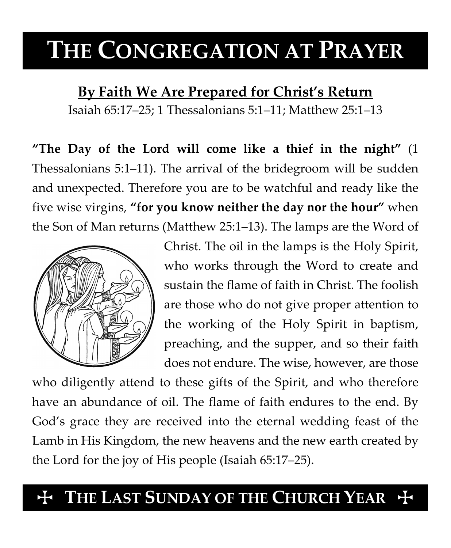# **THE CONGREGATION AT PRAYER**

**By Faith We Are Prepared for Christ's Return**

Isaiah 65:17–25; 1 Thessalonians 5:1–11; Matthew 25:1–13

**"The Day of the Lord will come like a thief in the night"** (1 Thessalonians 5:1–11). The arrival of the bridegroom will be sudden and unexpected. Therefore you are to be watchful and ready like the five wise virgins, **"for you know neither the day nor the hour"** when the Son of Man returns (Matthew 25:1–13). The lamps are the Word of



Christ. The oil in the lamps is the Holy Spirit, who works through the Word to create and sustain the flame of faith in Christ. The foolish are those who do not give proper attention to the working of the Holy Spirit in baptism, preaching, and the supper, and so their faith does not endure. The wise, however, are those

who diligently attend to these gifts of the Spirit, and who therefore have an abundance of oil. The flame of faith endures to the end. By God's grace they are received into the eternal wedding feast of the Lamb in His Kingdom, the new heavens and the new earth created by the Lord for the joy of His people (Isaiah 65:17–25).

## $H$  THE LAST SUNDAY OF THE CHURCH YEAR  $H$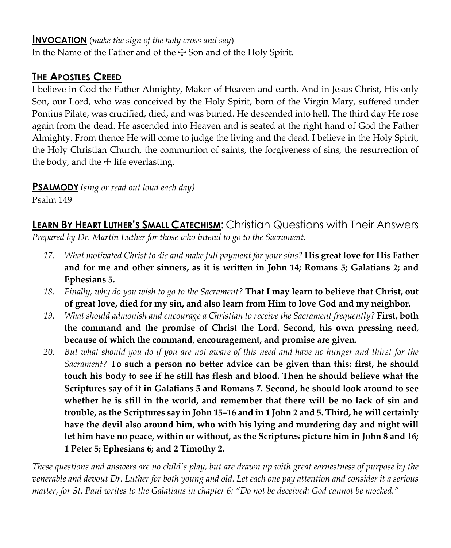#### **INVOCATION** (*make the sign of the holy cross and say*)

In the Name of the Father and of the  $\pm$  Son and of the Holy Spirit.

### **THE APOSTLES CREED**

I believe in God the Father Almighty, Maker of Heaven and earth. And in Jesus Christ, His only Son, our Lord, who was conceived by the Holy Spirit, born of the Virgin Mary, suffered under Pontius Pilate, was crucified, died, and was buried. He descended into hell. The third day He rose again from the dead. He ascended into Heaven and is seated at the right hand of God the Father Almighty. From thence He will come to judge the living and the dead. I believe in the Holy Spirit, the Holy Christian Church, the communion of saints, the forgiveness of sins, the resurrection of the body, and the  $\pm$  life everlasting.

**PSALMODY** *(sing or read out loud each day)*

Psalm 149

**LEARN BY HEART LUTHER'S SMALL CATECHISM:** Christian Questions with Their Answers *Prepared by Dr. Martin Luther for those who intend to go to the Sacrament.*

- *17. What motivated Christ to die and make full payment for your sins?* **His great love for His Father and for me and other sinners, as it is written in John 14; Romans 5; Galatians 2; and Ephesians 5.**
- *18. Finally, why do you wish to go to the Sacrament?* **That I may learn to believe that Christ, out of great love, died for my sin, and also learn from Him to love God and my neighbor.**
- *19. What should admonish and encourage a Christian to receive the Sacrament frequently?* **First, both the command and the promise of Christ the Lord. Second, his own pressing need, because of which the command, encouragement, and promise are given.**
- *20. But what should you do if you are not aware of this need and have no hunger and thirst for the Sacrament?* **To such a person no better advice can be given than this: first, he should touch his body to see if he still has flesh and blood. Then he should believe what the Scriptures say of it in Galatians 5 and Romans 7. Second, he should look around to see whether he is still in the world, and remember that there will be no lack of sin and trouble, as the Scriptures say in John 15–16 and in 1 John 2 and 5. Third, he will certainly have the devil also around him, who with his lying and murdering day and night will let him have no peace, within or without, as the Scriptures picture him in John 8 and 16; 1 Peter 5; Ephesians 6; and 2 Timothy 2.**

*These questions and answers are no child's play, but are drawn up with great earnestness of purpose by the venerable and devout Dr. Luther for both young and old. Let each one pay attention and consider it a serious matter, for St. Paul writes to the Galatians in chapter 6: "Do not be deceived: God cannot be mocked."*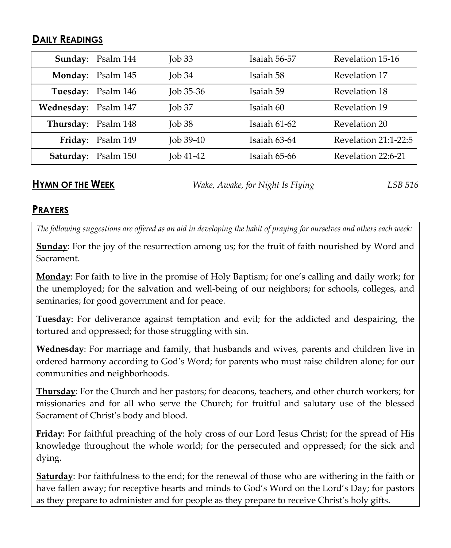#### **DAILY READINGS**

|                      | Sunday: Psalm 144          | $\rm{Job}33$ | Isaiah 56-57 | Revelation 15-16     |
|----------------------|----------------------------|--------------|--------------|----------------------|
|                      | Monday: Psalm 145          | $\rm{Job}34$ | Isaiah 58    | Revelation 17        |
|                      | Tuesday: Psalm 146         | Job $35-36$  | Isaiah 59    | Revelation 18        |
| Wednesday: Psalm 147 |                            | $J$ ob 37    | Isaiah 60    | Revelation 19        |
| Thursday: Psalm 148  |                            | $\rm{Job}38$ | Isaiah 61-62 | Revelation 20        |
|                      | Friday: Psalm 149          | $J$ ob 39-40 | Isaiah 63-64 | Revelation 21:1-22:5 |
|                      | <b>Saturday:</b> Psalm 150 | Job 41-42    | Isaiah 65-66 | Revelation 22:6-21   |

**HYMN OF THE WEEK** *Wake, Awake, for Night Is Flying LSB 516*

#### **PRAYERS**

*The following suggestions are offered as an aid in developing the habit of praying for ourselves and others each week:*

**Sunday**: For the joy of the resurrection among us; for the fruit of faith nourished by Word and Sacrament.

**Monday**: For faith to live in the promise of Holy Baptism; for one's calling and daily work; for the unemployed; for the salvation and well-being of our neighbors; for schools, colleges, and seminaries; for good government and for peace.

**Tuesday**: For deliverance against temptation and evil; for the addicted and despairing, the tortured and oppressed; for those struggling with sin.

**Wednesday**: For marriage and family, that husbands and wives, parents and children live in ordered harmony according to God's Word; for parents who must raise children alone; for our communities and neighborhoods.

**Thursday**: For the Church and her pastors; for deacons, teachers, and other church workers; for missionaries and for all who serve the Church; for fruitful and salutary use of the blessed Sacrament of Christ's body and blood.

**Friday**: For faithful preaching of the holy cross of our Lord Jesus Christ; for the spread of His knowledge throughout the whole world; for the persecuted and oppressed; for the sick and dying.

**Saturday**: For faithfulness to the end; for the renewal of those who are withering in the faith or have fallen away; for receptive hearts and minds to God's Word on the Lord's Day; for pastors as they prepare to administer and for people as they prepare to receive Christ's holy gifts.